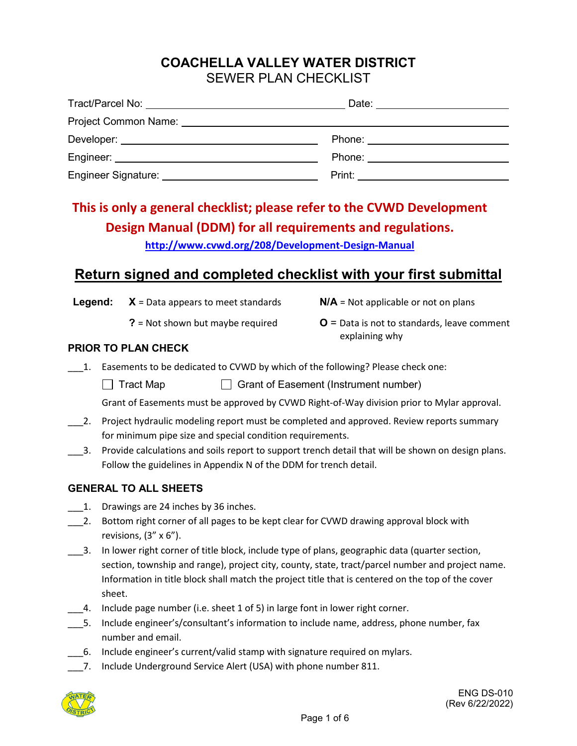### **COACHELLA VALLEY WATER DISTRICT** SEWER PLAN CHECKLIST

| Tract/Parcel No: Note that the state of the state of the state of the state of the state of the state of the state of the state of the state of the state of the state of the state of the state of the state of the state of  | Date: <u>_______</u>                                                                                                                                                                                                                |
|--------------------------------------------------------------------------------------------------------------------------------------------------------------------------------------------------------------------------------|-------------------------------------------------------------------------------------------------------------------------------------------------------------------------------------------------------------------------------------|
| Project Common Name: Name: Name Service Common Name: Name Service Common Name: Name Service Common Service Common Service Common Service Common Service Common Service Common Service Common Service Common Service Common Ser |                                                                                                                                                                                                                                     |
|                                                                                                                                                                                                                                | Phone: ________________________                                                                                                                                                                                                     |
|                                                                                                                                                                                                                                | Phone: __________________________                                                                                                                                                                                                   |
| Engineer Signature: National Account of the Signature:                                                                                                                                                                         | <b>Print:</b> Print: Print: Print: Print: Print: Print: Print: Print: Print: Print: Print: Print: Print: Print: Print: Print: Print: Print: Print: Print: Print: Print: Print: Print: Print: Print: Print: Print: Print: Print: Pri |

# **This is only a general checklist; please refer to the CVWD Development Design Manual (DDM) for all requirements and regulations.**

**<http://www.cvwd.org/208/Development-Design-Manual>**

## **Return signed and completed checklist with your first submittal**

**Legend: X** = Data appears to meet standards **N/A** = Not applicable or not on plans

- 
- **?** = Not shown but maybe required **O** = Data is not to standards, leave comment explaining why

#### **PRIOR TO PLAN CHECK**

\_\_\_1. Easements to be dedicated to CVWD by which of the following? Please check one:

 $\Box$  Tract Map  $\Box$  Grant of Easement (Instrument number)

Grant of Easements must be approved by CVWD Right-of-Way division prior to Mylar approval.

- \_\_\_2. Project hydraulic modeling report must be completed and approved. Review reports summary for minimum pipe size and special condition requirements.
- \_\_\_3. Provide calculations and soils report to support trench detail that will be shown on design plans. Follow the guidelines in Appendix N of the DDM for trench detail.

#### **GENERAL TO ALL SHEETS**

- 1. Drawings are 24 inches by 36 inches.
- 2. Bottom right corner of all pages to be kept clear for CVWD drawing approval block with revisions,  $(3'' \times 6'')$ .
- \_\_\_3. In lower right corner of title block, include type of plans, geographic data (quarter section, section, township and range), project city, county, state, tract/parcel number and project name. Information in title block shall match the project title that is centered on the top of the cover sheet.
- $\overline{a}$ . Include page number (i.e. sheet 1 of 5) in large font in lower right corner.
- \_\_\_5. Include engineer's/consultant's information to include name, address, phone number, fax number and email.
- \_\_\_6. Include engineer's current/valid stamp with signature required on mylars.
- 7. Include Underground Service Alert (USA) with phone number 811.

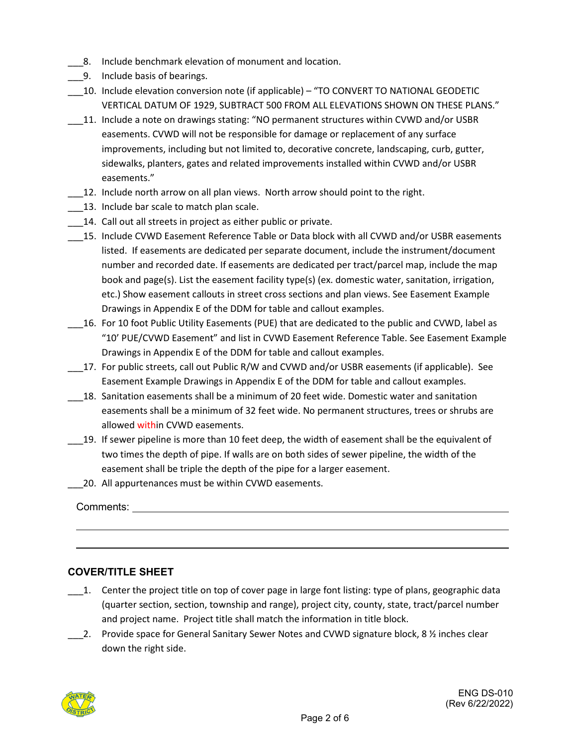- 8. Include benchmark elevation of monument and location.
- \_\_\_9. Include basis of bearings.
- \_\_\_10. Include elevation conversion note (if applicable) "TO CONVERT TO NATIONAL GEODETIC VERTICAL DATUM OF 1929, SUBTRACT 500 FROM ALL ELEVATIONS SHOWN ON THESE PLANS."
- \_\_\_11. Include a note on drawings stating: "NO permanent structures within CVWD and/or USBR easements. CVWD will not be responsible for damage or replacement of any surface improvements, including but not limited to, decorative concrete, landscaping, curb, gutter, sidewalks, planters, gates and related improvements installed within CVWD and/or USBR easements."
- \_\_\_12. Include north arrow on all plan views. North arrow should point to the right.
- 13. Include bar scale to match plan scale.
- 14. Call out all streets in project as either public or private.
- \_\_\_15. Include CVWD Easement Reference Table or Data block with all CVWD and/or USBR easements listed. If easements are dedicated per separate document, include the instrument/document number and recorded date. If easements are dedicated per tract/parcel map, include the map book and page(s). List the easement facility type(s) (ex. domestic water, sanitation, irrigation, etc.) Show easement callouts in street cross sections and plan views. See Easement Example Drawings in Appendix E of the DDM for table and callout examples.
- 16. For 10 foot Public Utility Easements (PUE) that are dedicated to the public and CVWD, label as "10' PUE/CVWD Easement" and list in CVWD Easement Reference Table. See Easement Example Drawings in Appendix E of the DDM for table and callout examples.
- \_\_\_17. For public streets, call out Public R/W and CVWD and/or USBR easements (if applicable). See Easement Example Drawings in Appendix E of the DDM for table and callout examples.
- \_\_\_18. Sanitation easements shall be a minimum of 20 feet wide. Domestic water and sanitation easements shall be a minimum of 32 feet wide. No permanent structures, trees or shrubs are allowed within CVWD easements.
- \_\_\_19. If sewer pipeline is more than 10 feet deep, the width of easement shall be the equivalent of two times the depth of pipe. If walls are on both sides of sewer pipeline, the width of the easement shall be triple the depth of the pipe for a larger easement.
- 20. All appurtenances must be within CVWD easements.

Comments:

#### **COVER/TITLE SHEET**

- $\Box$  1. Center the project title on top of cover page in large font listing: type of plans, geographic data (quarter section, section, township and range), project city, county, state, tract/parcel number and project name. Project title shall match the information in title block.
- 2. Provide space for General Sanitary Sewer Notes and CVWD signature block, 8 % inches clear down the right side.

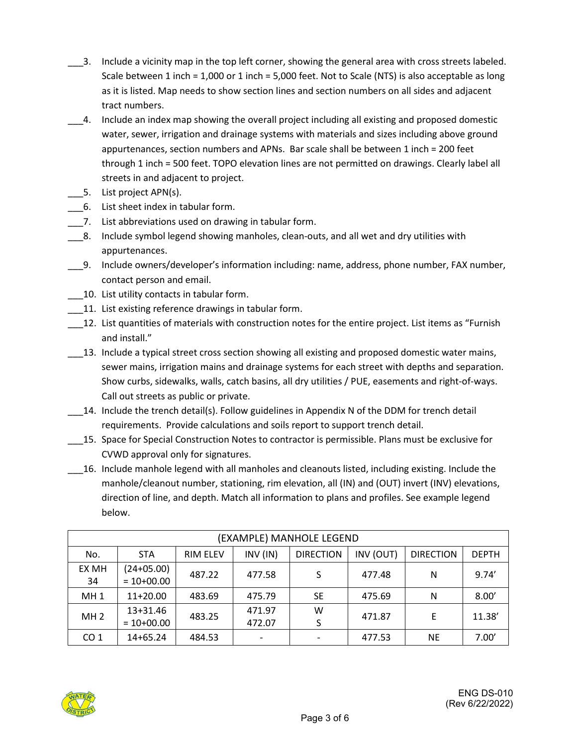- \_\_\_3. Include a vicinity map in the top left corner, showing the general area with cross streets labeled. Scale between 1 inch = 1,000 or 1 inch = 5,000 feet. Not to Scale (NTS) is also acceptable as long as it is listed. Map needs to show section lines and section numbers on all sides and adjacent tract numbers.
- \_\_\_4. Include an index map showing the overall project including all existing and proposed domestic water, sewer, irrigation and drainage systems with materials and sizes including above ground appurtenances, section numbers and APNs. Bar scale shall be between 1 inch = 200 feet through 1 inch = 500 feet. TOPO elevation lines are not permitted on drawings. Clearly label all streets in and adjacent to project.
- 5. List project APN(s).
- \_\_\_6. List sheet index in tabular form.
- 7. List abbreviations used on drawing in tabular form.
- \_\_\_8. Include symbol legend showing manholes, clean-outs, and all wet and dry utilities with appurtenances.
- \_\_\_9. Include owners/developer's information including: name, address, phone number, FAX number, contact person and email.
- \_\_\_10. List utility contacts in tabular form.
- \_\_\_11. List existing reference drawings in tabular form.
- \_\_\_12. List quantities of materials with construction notes for the entire project. List items as "Furnish and install."
- \_\_\_13. Include a typical street cross section showing all existing and proposed domestic water mains, sewer mains, irrigation mains and drainage systems for each street with depths and separation. Show curbs, sidewalks, walls, catch basins, all dry utilities / PUE, easements and right-of-ways. Call out streets as public or private.
- \_\_\_14. Include the trench detail(s). Follow guidelines in Appendix N of the DDM for trench detail requirements. Provide calculations and soils report to support trench detail.
- \_\_\_15. Space for Special Construction Notes to contractor is permissible. Plans must be exclusive for CVWD approval only for signatures.
- \_\_\_16. Include manhole legend with all manholes and cleanouts listed, including existing. Include the manhole/cleanout number, stationing, rim elevation, all (IN) and (OUT) invert (INV) elevations, direction of line, and depth. Match all information to plans and profiles. See example legend below.

| (EXAMPLE) MANHOLE LEGEND |                              |                 |                  |                  |           |                  |              |
|--------------------------|------------------------------|-----------------|------------------|------------------|-----------|------------------|--------------|
| No.                      | <b>STA</b>                   | <b>RIM ELEV</b> | INV (IN)         | <b>DIRECTION</b> | INV (OUT) | <b>DIRECTION</b> | <b>DEPTH</b> |
| EX MH<br>34              | $(24+05.00)$<br>$= 10+00.00$ | 487.22          | 477.58           | S                | 477.48    | N                | 9.74'        |
| MH <sub>1</sub>          | 11+20.00                     | 483.69          | 475.79           | <b>SE</b>        | 475.69    | N                | 8.00'        |
| MH <sub>2</sub>          | 13+31.46<br>$= 10+00.00$     | 483.25          | 471.97<br>472.07 | w<br>S           | 471.87    | E                | 11.38'       |
| CO <sub>1</sub>          | 14+65.24                     | 484.53          |                  |                  | 477.53    | <b>NE</b>        | 7.00'        |

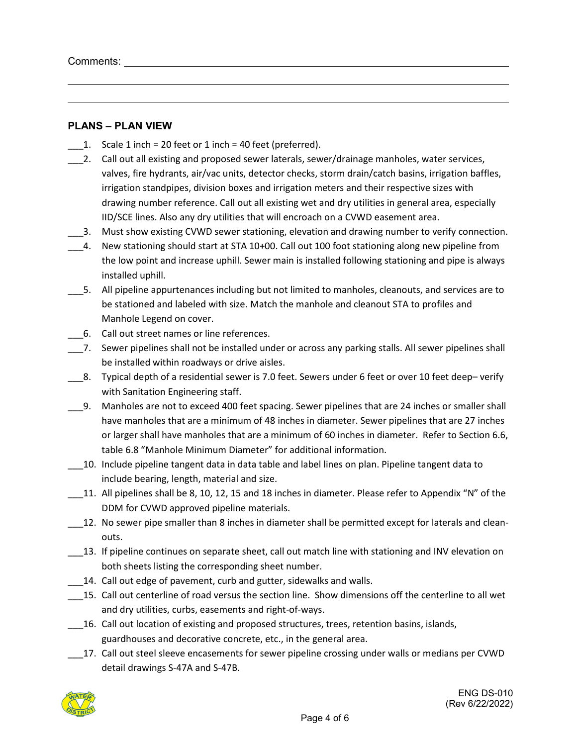#### **PLANS – PLAN VIEW**

- 1. Scale 1 inch = 20 feet or 1 inch = 40 feet (preferred).
- \_\_\_2. Call out all existing and proposed sewer laterals, sewer/drainage manholes, water services, valves, fire hydrants, air/vac units, detector checks, storm drain/catch basins, irrigation baffles, irrigation standpipes, division boxes and irrigation meters and their respective sizes with drawing number reference. Call out all existing wet and dry utilities in general area, especially IID/SCE lines. Also any dry utilities that will encroach on a CVWD easement area.
- \_\_\_3. Must show existing CVWD sewer stationing, elevation and drawing number to verify connection.
- \_\_\_4. New stationing should start at STA 10+00. Call out 100 foot stationing along new pipeline from the low point and increase uphill. Sewer main is installed following stationing and pipe is always installed uphill.
- \_\_\_5. All pipeline appurtenances including but not limited to manholes, cleanouts, and services are to be stationed and labeled with size. Match the manhole and cleanout STA to profiles and Manhole Legend on cover.
- \_\_\_6. Call out street names or line references.
- \_\_\_7. Sewer pipelines shall not be installed under or across any parking stalls. All sewer pipelines shall be installed within roadways or drive aisles.
- \_\_\_8. Typical depth of a residential sewer is 7.0 feet. Sewers under 6 feet or over 10 feet deep– verify with Sanitation Engineering staff.
- \_\_\_9. Manholes are not to exceed 400 feet spacing. Sewer pipelines that are 24 inches or smaller shall have manholes that are a minimum of 48 inches in diameter. Sewer pipelines that are 27 inches or larger shall have manholes that are a minimum of 60 inches in diameter. Refer to Section 6.6, table 6.8 "Manhole Minimum Diameter" for additional information.
- \_\_\_10. Include pipeline tangent data in data table and label lines on plan. Pipeline tangent data to include bearing, length, material and size.
- \_\_\_11. All pipelines shall be 8, 10, 12, 15 and 18 inches in diameter. Please refer to Appendix "N" of the DDM for CVWD approved pipeline materials.
- 12. No sewer pipe smaller than 8 inches in diameter shall be permitted except for laterals and cleanouts.
- \_\_\_13. If pipeline continues on separate sheet, call out match line with stationing and INV elevation on both sheets listing the corresponding sheet number.
- 14. Call out edge of pavement, curb and gutter, sidewalks and walls.
- \_\_\_15. Call out centerline of road versus the section line. Show dimensions off the centerline to all wet and dry utilities, curbs, easements and right-of-ways.
- \_\_\_16. Call out location of existing and proposed structures, trees, retention basins, islands, guardhouses and decorative concrete, etc., in the general area.
- \_\_\_17. Call out steel sleeve encasements for sewer pipeline crossing under walls or medians per CVWD detail drawings S-47A and S-47B.

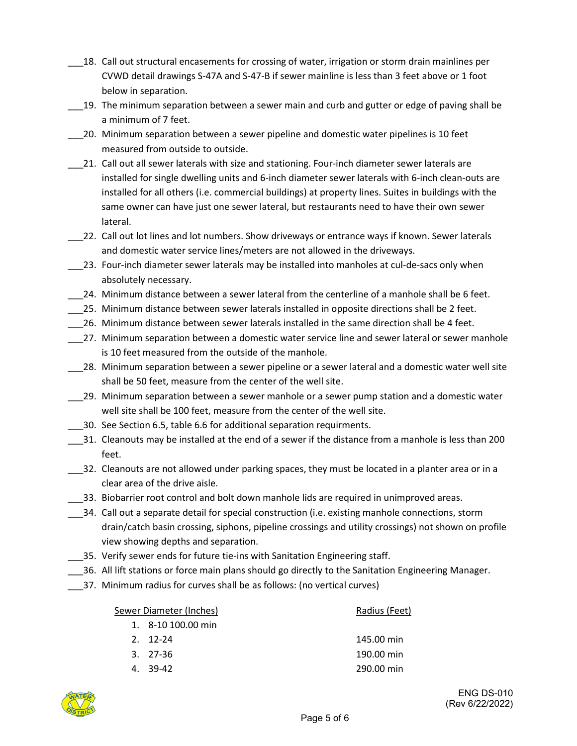- 18. Call out structural encasements for crossing of water, irrigation or storm drain mainlines per CVWD detail drawings S-47A and S-47-B if sewer mainline is less than 3 feet above or 1 foot below in separation.
- 19. The minimum separation between a sewer main and curb and gutter or edge of paving shall be a minimum of 7 feet.
- \_\_\_20. Minimum separation between a sewer pipeline and domestic water pipelines is 10 feet measured from outside to outside.
- \_\_\_21. Call out all sewer laterals with size and stationing. Four-inch diameter sewer laterals are installed for single dwelling units and 6-inch diameter sewer laterals with 6-inch clean-outs are installed for all others (i.e. commercial buildings) at property lines. Suites in buildings with the same owner can have just one sewer lateral, but restaurants need to have their own sewer lateral.
- \_\_\_22. Call out lot lines and lot numbers. Show driveways or entrance ways if known. Sewer laterals and domestic water service lines/meters are not allowed in the driveways.
- 23. Four-inch diameter sewer laterals may be installed into manholes at cul-de-sacs only when absolutely necessary.
- \_\_\_24. Minimum distance between a sewer lateral from the centerline of a manhole shall be 6 feet.
- \_\_\_25. Minimum distance between sewer laterals installed in opposite directions shall be 2 feet.
- \_\_\_26. Minimum distance between sewer laterals installed in the same direction shall be 4 feet.
- \_\_\_27. Minimum separation between a domestic water service line and sewer lateral or sewer manhole is 10 feet measured from the outside of the manhole.
- \_\_\_28. Minimum separation between a sewer pipeline or a sewer lateral and a domestic water well site shall be 50 feet, measure from the center of the well site.
- \_\_\_29. Minimum separation between a sewer manhole or a sewer pump station and a domestic water well site shall be 100 feet, measure from the center of the well site.
- \_\_\_30. See Section 6.5, table 6.6 for additional separation requirments.
- \_\_\_31. Cleanouts may be installed at the end of a sewer if the distance from a manhole is less than 200 feet.
- \_\_\_32. Cleanouts are not allowed under parking spaces, they must be located in a planter area or in a clear area of the drive aisle.
- \_\_\_33. Biobarrier root control and bolt down manhole lids are required in unimproved areas.
- \_\_\_34. Call out a separate detail for special construction (i.e. existing manhole connections, storm drain/catch basin crossing, siphons, pipeline crossings and utility crossings) not shown on profile view showing depths and separation.
- \_\_\_35. Verify sewer ends for future tie-ins with Sanitation Engineering staff.
- \_\_\_36. All lift stations or force main plans should go directly to the Sanitation Engineering Manager.
- \_\_\_37. Minimum radius for curves shall be as follows: (no vertical curves)

#### Sewer Diameter (Inches) Radius (Feet)

| 1. 8-10 100.00 min |
|--------------------|
|                    |

2. 12-24 145.00 min 3. 27-36 190.00 min 4. 39-42 290.00 min